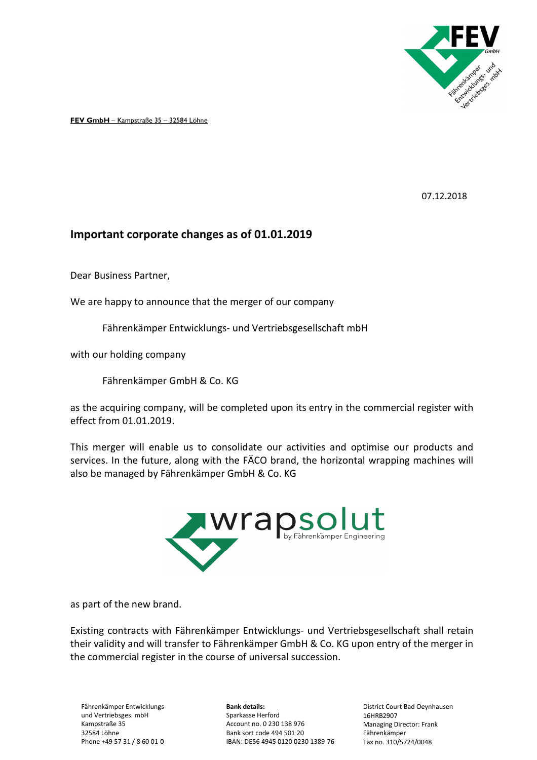

**FEV GmbH** – Kampstraße 35 – 32584 Löhne

07.12.2018

## **Important corporate changes as of 01.01.2019**

Dear Business Partner,

We are happy to announce that the merger of our company

Fährenkämper Entwicklungs- und Vertriebsgesellschaft mbH

with our holding company

Fährenkämper GmbH & Co. KG

as the acquiring company, will be completed upon its entry in the commercial register with effect from 01.01.2019.

This merger will enable us to consolidate our activities and optimise our products and services. In the future, along with the FÄCO brand, the horizontal wrapping machines will also be managed by Fährenkämper GmbH & Co. KG



as part of the new brand.

Existing contracts with Fährenkämper Entwicklungs- und Vertriebsgesellschaft shall retain their validity and will transfer to Fährenkämper GmbH & Co. KG upon entry of the merger in the commercial register in the course of universal succession.

Fährenkämper Entwicklungsund Vertriebsges. mbH Kampstraße 35 32584 Löhne Phone +49 57 31 / 8 60 01-0

**Bank details:** Sparkasse Herford Account no. 0 230 138 976 Bank sort code 494 501 20 IBAN: DE56 4945 0120 0230 1389 76

District Court Bad Oeynhausen 16HRB2907 Managing Director: Frank Fährenkämper Tax no. 310/5724/0048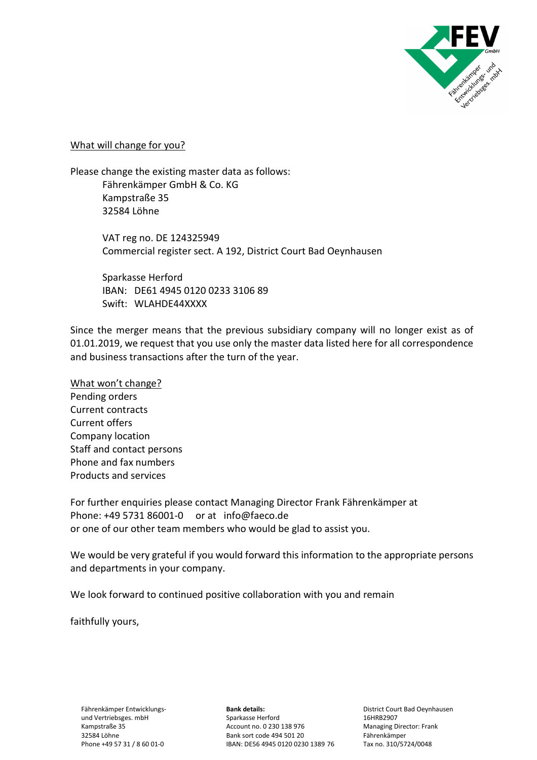

What will change for you?

Please change the existing master data as follows: Fährenkämper GmbH & Co. KG Kampstraße 35 32584 Löhne

> VAT reg no. DE 124325949 Commercial register sect. A 192, District Court Bad Oeynhausen

 Sparkasse Herford IBAN: DE61 4945 0120 0233 3106 89 Swift: WLAHDE44XXXX

Since the merger means that the previous subsidiary company will no longer exist as of 01.01.2019, we request that you use only the master data listed here for all correspondence and business transactions after the turn of the year.

What won't change? Pending orders Current contracts Current offers Company location Staff and contact persons Phone and fax numbers Products and services

For further enquiries please contact Managing Director Frank Fährenkämper at Phone: +49 5731 86001-0 or at info@faeco.de or one of our other team members who would be glad to assist you.

We would be very grateful if you would forward this information to the appropriate persons and departments in your company.

We look forward to continued positive collaboration with you and remain

faithfully yours,

**Bank details:** Sparkasse Herford Account no. 0 230 138 976 Bank sort code 494 501 20 IBAN: DE56 4945 0120 0230 1389 76

District Court Bad Oeynhausen 16HRB2907 Managing Director: Frank Fährenkämper Tax no. 310/5724/0048